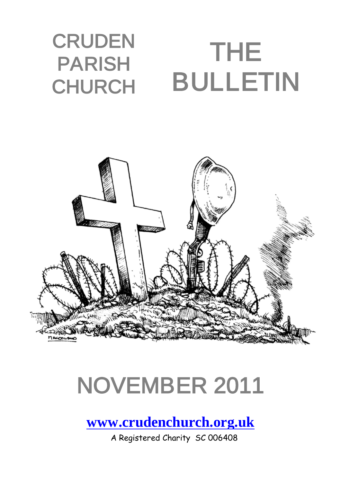#### **CRUDEN** PARISH CHURCH THE BULLETIN



# NOVEMBER 2011

**[www.crudenchurch.org.uk](http://www.crudenchurch.org.uk/)**

A Registered Charity SC 006408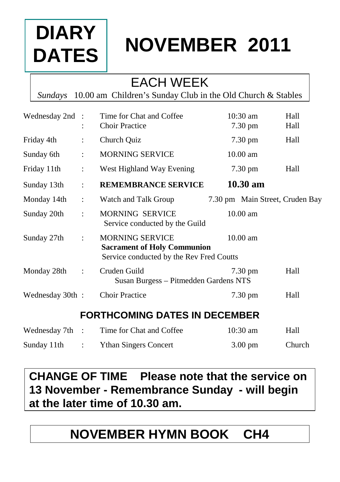# **DIARY DATES**

# **NOVEMBER 2011**

## EACH WEEK

*Sundays* 10.00 am Children's Sunday Club in the Old Church & Stables

| Wednesday 2nd : |                      | Time for Chat and Coffee<br><b>Choir Practice</b>                                                        | $10:30$ am<br>$7.30 \text{ pm}$ | Hall<br>Hall |
|-----------------|----------------------|----------------------------------------------------------------------------------------------------------|---------------------------------|--------------|
| Friday 4th      | ÷                    | Church Quiz                                                                                              | $7.30 \text{ pm}$               | Hall         |
| Sunday 6th      | ÷                    | <b>MORNING SERVICE</b>                                                                                   | $10.00$ am                      |              |
| Friday 11th     | $\ddot{\cdot}$       | West Highland Way Evening                                                                                | $7.30 \text{ pm}$               | Hall         |
| Sunday 13th     | $\ddot{\phantom{a}}$ | <b>REMEMBRANCE SERVICE</b>                                                                               | $10.30$ am                      |              |
| Monday 14th     | $\ddot{\phantom{a}}$ | Watch and Talk Group                                                                                     | 7.30 pm Main Street, Cruden Bay |              |
| Sunday 20th     | ٠                    | <b>MORNING SERVICE</b><br>Service conducted by the Guild                                                 | $10.00$ am                      |              |
| Sunday 27th     | ÷                    | <b>MORNING SERVICE</b><br><b>Sacrament of Holy Communion</b><br>Service conducted by the Rev Fred Coutts | 10.00 am                        |              |
| Monday 28th     | $\ddot{\phantom{a}}$ | Cruden Guild<br>Susan Burgess – Pitmedden Gardens NTS                                                    | $7.30 \text{ pm}$               | Hall         |
| Wednesday 30th: |                      | <b>Choir Practice</b>                                                                                    | 7.30 pm                         | Hall         |
|                 |                      | <b>FORTHCOMING DATES IN DECEMBER</b>                                                                     |                                 |              |

| Wednesday 7th | Time for Chat and Coffee     | $10:30 \text{ am}$ | Hall   |
|---------------|------------------------------|--------------------|--------|
| Sunday 11th   | <b>Ythan Singers Concert</b> | $3.00 \text{ pm}$  | Church |

**CHANGE OF TIME Please note that the service on 13 November - Remembrance Sunday - will begin at the later time of 10.30 am.**

## **NOVEMBER HYMN BOOK CH4**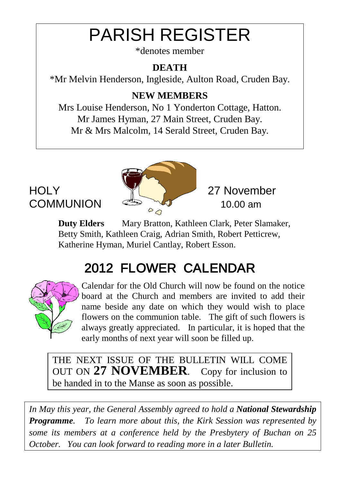# PARISH REGISTER

\*denotes member

#### **DEATH**

\*Mr Melvin Henderson, Ingleside, Aulton Road, Cruden Bay.

#### **NEW MEMBERS**

Mrs Louise Henderson, No 1 Yonderton Cottage, Hatton. Mr James Hyman, 27 Main Street, Cruden Bay. Mr & Mrs Malcolm, 14 Serald Street, Cruden Bay.



**Duty Elders** Mary Bratton, Kathleen Clark, Peter Slamaker, Betty Smith, Kathleen Craig, Adrian Smith, Robert Petticrew, Katherine Hyman, Muriel Cantlay, Robert Esson.

# 2012 FLOWER CALENDAR



Calendar for the Old Church will now be found on the notice board at the Church and members are invited to add their name beside any date on which they would wish to place flowers on the communion table. The gift of such flowers is always greatly appreciated. In particular, it is hoped that the early months of next year will soon be filled up.

THE NEXT ISSUE OF THE BULLETIN WILL COME OUT ON **27 NOVEMBER**. Copy for inclusion to be handed in to the Manse as soon as possible.

*In May this year, the General Assembly agreed to hold a National Stewardship Programme. To learn more about this, the Kirk Session was represented by some its members at a conference held by the Presbytery of Buchan on 25 October. You can look forward to reading more in a later Bulletin.*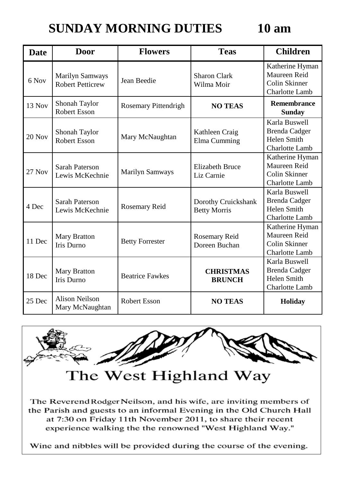#### **SUNDAY MORNING DUTIES 10 am**

| Date     | Door                                              | <b>Flowers</b>         | <b>Teas</b>                                | <b>Children</b>                                                           |
|----------|---------------------------------------------------|------------------------|--------------------------------------------|---------------------------------------------------------------------------|
| 6 Nov    | <b>Marilyn Samways</b><br><b>Robert Petticrew</b> | Jean Beedie            | <b>Sharon Clark</b><br>Wilma Moir          | Katherine Hyman<br>Maureen Reid<br>Colin Skinner<br>Charlotte Lamb        |
| $13$ Nov | Shonah Taylor<br>Robert Esson                     | Rosemary Pittendrigh   | <b>NO TEAS</b>                             | <b>Remembrance</b><br><b>Sunday</b>                                       |
| $20$ Nov | Shonah Taylor<br>Robert Esson                     | Mary McNaughtan        | Kathleen Craig<br>Elma Cumming             | Karla Buswell<br>Brenda Cadger<br>Helen Smith<br>Charlotte Lamb           |
| $27$ Nov | Sarah Paterson<br>Lewis McKechnie                 | Marilyn Samways        | <b>Elizabeth Bruce</b><br>Liz Carnie       | Katherine Hyman<br>Maureen Reid<br>Colin Skinner<br>Charlotte Lamb        |
| 4 Dec    | Sarah Paterson<br>Lewis McKechnie                 | Rosemary Reid          | Dorothy Cruickshank<br><b>Betty Morris</b> | Karla Buswell<br><b>Brenda Cadger</b><br>Helen Smith<br>Charlotte Lamb    |
| 11 Dec   | Mary Bratton<br>Iris Durno                        | <b>Betty Forrester</b> | Rosemary Reid<br>Doreen Buchan             | Katherine Hyman<br>Maureen Reid<br>Colin Skinner<br><b>Charlotte Lamb</b> |
| 18 Dec   | Mary Bratton<br>Iris Durno                        | <b>Beatrice Fawkes</b> | <b>CHRISTMAS</b><br><b>BRUNCH</b>          | Karla Buswell<br>Brenda Cadger<br>Helen Smith<br>Charlotte Lamb           |
| 25 Dec   | <b>Alison Neilson</b><br>Mary McNaughtan          | Robert Esson           | <b>NO TEAS</b>                             | <b>Holiday</b>                                                            |



the Parish and guests to an informal Evening in the Old Church Hall at 7:30 on Friday 11th November 2011, to share their recent experience walking the the renowned "West Highland Way."

Wine and nibbles will be provided during the course of the evening.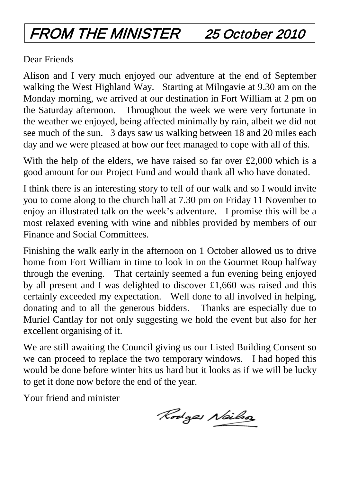# FROM THE MINISTER 25 October 2010

Dear Friends

Alison and I very much enjoyed our adventure at the end of September walking the West Highland Way. Starting at Milngavie at 9.30 am on the Monday morning, we arrived at our destination in Fort William at 2 pm on the Saturday afternoon. Throughout the week we were very fortunate in the weather we enjoyed, being affected minimally by rain, albeit we did not see much of the sun. 3 days saw us walking between 18 and 20 miles each day and we were pleased at how our feet managed to cope with all of this.

With the help of the elders, we have raised so far over  $\text{\pounds}2,000$  which is a good amount for our Project Fund and would thank all who have donated.

I think there is an interesting story to tell of our walk and so I would invite you to come along to the church hall at 7.30 pm on Friday 11 November to enjoy an illustrated talk on the week's adventure. I promise this will be a most relaxed evening with wine and nibbles provided by members of our Finance and Social Committees.

Finishing the walk early in the afternoon on 1 October allowed us to drive home from Fort William in time to look in on the Gourmet Roup halfway through the evening. That certainly seemed a fun evening being enjoyed by all present and I was delighted to discover £1,660 was raised and this certainly exceeded my expectation. Well done to all involved in helping, donating and to all the generous bidders. Thanks are especially due to Muriel Cantlay for not only suggesting we hold the event but also for her excellent organising of it.

We are still awaiting the Council giving us our Listed Building Consent so we can proceed to replace the two temporary windows. I had hoped this would be done before winter hits us hard but it looks as if we will be lucky to get it done now before the end of the year.

Your friend and minister

Rodges Neilso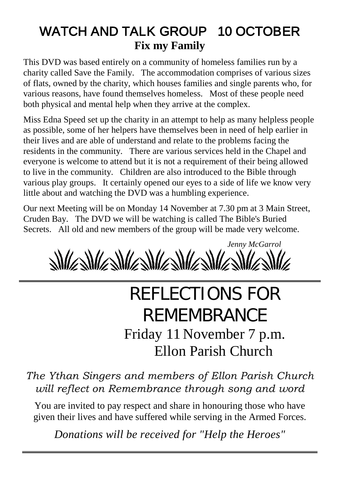### WATCH AND TALK GROUP 10 OCTOBER **Fix my Family**

This DVD was based entirely on a community of homeless families run by a charity called Save the Family. The accommodation comprises of various sizes of flats, owned by the charity, which houses families and single parents who, for various reasons, have found themselves homeless. Most of these people need both physical and mental help when they arrive at the complex.

Miss Edna Speed set up the charity in an attempt to help as many helpless people as possible, some of her helpers have themselves been in need of help earlier in their lives and are able of understand and relate to the problems facing the residents in the community. There are various services held in the Chapel and everyone is welcome to attend but it is not a requirement of their being allowed to live in the community. Children are also introduced to the Bible through various play groups. It certainly opened our eyes to a side of life we know very little about and watching the DVD was a humbling experience.

Our next Meeting will be on Monday 14 November at 7.30 pm at 3 Main Street, Cruden Bay. The DVD we will be watching is called The Bible's Buried Secrets. All old and new members of the group will be made very welcome.

*Jenny McGarrol* **SIMASIMASIMASIMASIM** 

# REFLECTIONS FOR REMEMBRANCE Friday 11 November 7 p.m. Ellon Parish Church

*The Ythan Singers and members of Ellon Parish Church will reflect on Remembrance through song and word*

You are invited to pay respect and share in honouring those who have given their lives and have suffered while serving in the Armed Forces.

*Donations will be received for "Help the Heroes"*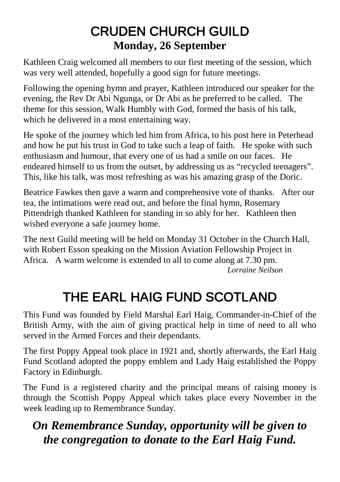#### CRUDEN CHURCH GUILD **Monday, 26 September**

Kathleen Craig welcomed all members to our first meeting of the session, which was very well attended, hopefully a good sign for future meetings.

Following the opening hymn and prayer, Kathleen introduced our speaker for the evening, the Rev Dr Abi Ngunga, or Dr Abi as he preferred to be called. The theme for this session, Walk Humbly with God, formed the basis of his talk, which he delivered in a most entertaining way.

He spoke of the journey which led him from Africa, to his post here in Peterhead and how he put his trust in God to take such a leap of faith. He spoke with such enthusiasm and humour, that every one of us had a smile on our faces. He endeared himself to us from the outset, by addressing us as "recycled teenagers". This, like his talk, was most refreshing as was his amazing grasp of the Doric.

Beatrice Fawkes then gave a warm and comprehensive vote of thanks. After our tea, the intimations were read out, and before the final hymn, Rosemary Pittendrigh thanked Kathleen for standing in so ably for her. Kathleen then wished everyone a safe journey home.

The next Guild meeting will be held on Monday 31 October in the Church Hall, with Robert Esson speaking on the Mission Aviation Fellowship Project in Africa. A warm welcome is extended to all to come along at 7.30 pm. *Lorraine Neilson* 

# THE EARL HAIG FUND SCOTLAND

This Fund was founded by Field Marshal Earl Haig, Commander-in-Chief of the British Army, with the aim of giving practical help in time of need to all who served in the Armed Forces and their dependants.

The first Poppy Appeal took place in 1921 and, shortly afterwards, the Earl Haig Fund Scotland adopted the poppy emblem and Lady Haig established the Poppy Factory in Edinburgh.

The Fund is a registered charity and the principal means of raising money is through the Scottish Poppy Appeal which takes place every November in the week leading up to Remembrance Sunday.

#### *On Remembrance Sunday, opportunity will be given to the congregation to donate to the Earl Haig Fund.*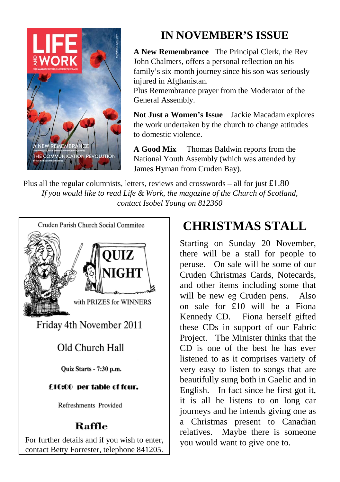

#### **IN NOVEMBER'S ISSUE**

**A New Remembrance** The Principal Clerk, the Rev John Chalmers, offers a personal reflection on his family's six-month journey since his son was seriously injured in Afghanistan.

Plus Remembrance prayer from the Moderator of the General Assembly.

**Not Just a Women's Issue** Jackie Macadam explores the work undertaken by the church to change attitudes to domestic violence.

**A Good Mix** Thomas Baldwin reports from the National Youth Assembly (which was attended by James Hyman from Cruden Bay).

Plus all the regular columnists, letters, reviews and crosswords – all for just  $\pounds$ 1.80 *If you would like to read Life & Work, the magazine of the Church of Scotland, contact Isobel Young on 812360*



## **CHRISTMAS STALL**

Starting on Sunday 20 November, there will be a stall for people to peruse. On sale will be some of our Cruden Christmas Cards, Notecards, and other items including some that will be new eg Cruden pens. Also on sale for £10 will be a Fiona Kennedy CD. Fiona herself gifted these CDs in support of our Fabric Project. The Minister thinks that the CD is one of the best he has ever listened to as it comprises variety of very easy to listen to songs that are beautifully sung both in Gaelic and in English. In fact since he first got it, it is all he listens to on long car journeys and he intends giving one as a Christmas present to Canadian relatives. Maybe there is someone you would want to give one to.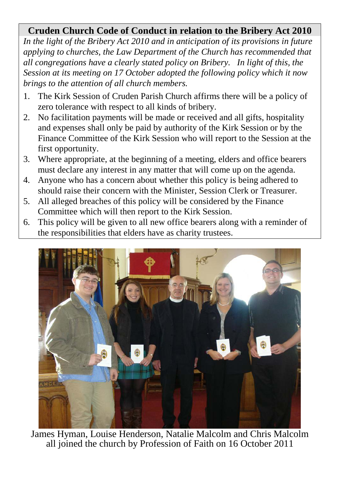#### **Cruden Church Code of Conduct in relation to the Bribery Act 2010**

*In the light of the Bribery Act 2010 and in anticipation of its provisions in future applying to churches, the Law Department of the Church has recommended that all congregations have a clearly stated policy on Bribery. In light of this, the Session at its meeting on 17 October adopted the following policy which it now brings to the attention of all church members.*

- 1. The Kirk Session of Cruden Parish Church affirms there will be a policy of zero tolerance with respect to all kinds of bribery.
- 2. No facilitation payments will be made or received and all gifts, hospitality and expenses shall only be paid by authority of the Kirk Session or by the Finance Committee of the Kirk Session who will report to the Session at the first opportunity.
- 3. Where appropriate, at the beginning of a meeting, elders and office bearers must declare any interest in any matter that will come up on the agenda.
- 4. Anyone who has a concern about whether this policy is being adhered to should raise their concern with the Minister, Session Clerk or Treasurer.
- 5. All alleged breaches of this policy will be considered by the Finance Committee which will then report to the Kirk Session.
- 6. This policy will be given to all new office bearers along with a reminder of the responsibilities that elders have as charity trustees.



James Hyman, Louise Henderson, Natalie Malcolm and Chris Malcolm all joined the church by Profession of Faith on 16 October 2011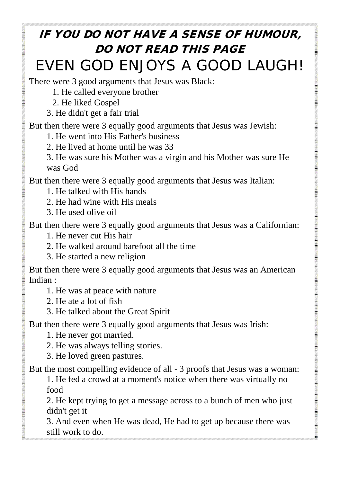### IF YOU DO NOT HAVE A SENSE OF HUMOUR, DO NOT READ THIS PAGE EVEN GOD ENJOYS A GOOD LAUGH!

There were 3 good arguments that Jesus was Black:

- 1. He called everyone brother
- 2. He liked Gospel
- 3. He didn't get a fair trial

But then there were 3 equally good arguments that Jesus was Jewish:

- 1. He went into His Father's business
- 2. He lived at home until he was 33

3. He was sure his Mother was a virgin and his Mother was sure He was God

But then there were 3 equally good arguments that Jesus was Italian:

- 1. He talked with His hands
- 2. He had wine with His meals
- 3. He used olive oil

But then there were 3 equally good arguments that Jesus was a Californian:

- 1. He never cut His hair
- 2. He walked around barefoot all the time
- 3. He started a new religion

But then there were 3 equally good arguments that Jesus was an American Indian :

- 1. He was at peace with nature
- 2. He ate a lot of fish
- 3. He talked about the Great Spirit

But then there were 3 equally good arguments that Jesus was Irish:

1. He never got married.

**CONTRACTOR DESCRIPTION AND VEHICLE** 

- 2. He was always telling stories.
- 3. He loved green pastures.

But the most compelling evidence of all - 3 proofs that Jesus was a woman:

1. He fed a crowd at a moment's notice when there was virtually no food

2. He kept trying to get a message across to a bunch of men who just didn't get it

3. And even when He was dead, He had to get up because there was still work to do.